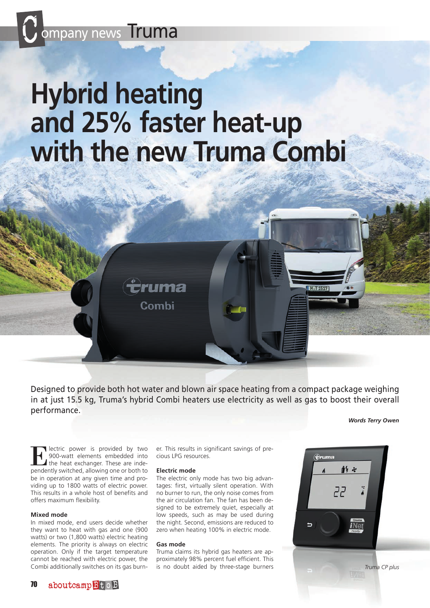

# **Hybrid heating and 25% faster heat-up with the new Truma Combi**

ruma

Combi

Designed to provide both hot water and blown air space heating from a compact package weighing in at just 15.5 kg, Truma's hybrid Combi heaters use electricity as well as gas to boost their overall performance.

*Words Terry Owen*

**Electric power is provided by two**<br>the heat exchanger. These are inde-<br>pendently switched allowing one or both to 900-watt elements embedded into pendently switched, allowing one or both to be in operation at any given time and providing up to 1800 watts of electric power. This results in a whole host of benefits and offers maximum flexibility.

## **Mixed mode**

In mixed mode, end users decide whether they want to heat with gas and one (900 watts) or two (1,800 watts) electric heating elements. The priority is always on electric operation. Only if the target temperature cannot be reached with electric power, the Combi additionally switches on its gas burner. This results in significant savings of precious LPG resources.

#### **Electric mode**

The electric only mode has two big advantages: first, virtually silent operation. With no burner to run, the only noise comes from the air circulation fan. The fan has been designed to be extremely quiet, especially at low speeds, such as may be used during the night. Second, emissions are reduced to zero when heating 100% in electric mode.

## **Gas mode**

Truma claims its hybrid gas heaters are approximately 98% percent fuel efficient. This is no doubt aided by three-stage burners



M-T1517